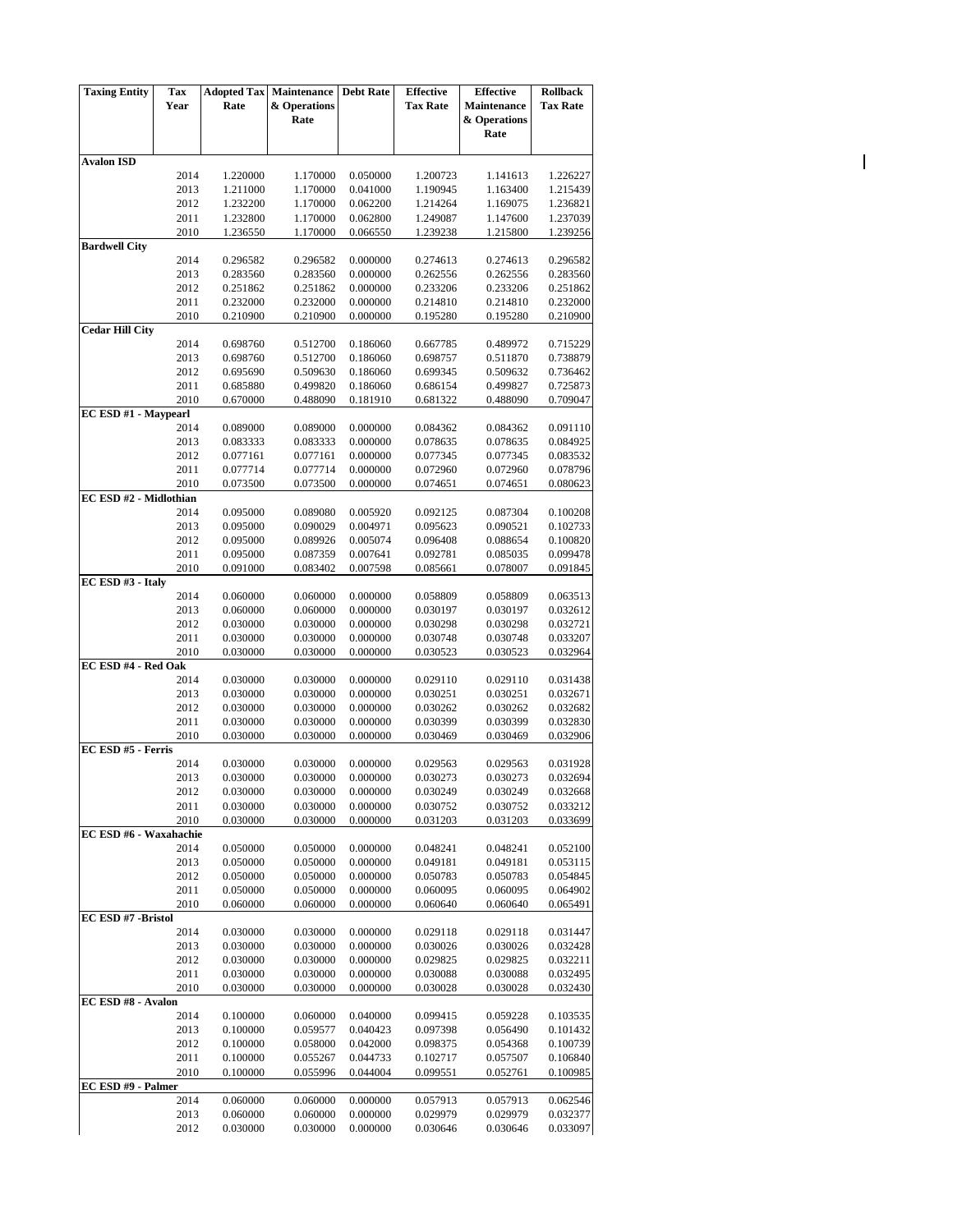| <b>Taxing Entity</b>   | <b>Tax</b>   | <b>Adopted Tax</b>   | Maintenance          | <b>Debt Rate</b>     | <b>Effective</b>     | <b>Effective</b>     | <b>Rollback</b>      |
|------------------------|--------------|----------------------|----------------------|----------------------|----------------------|----------------------|----------------------|
|                        | Year         | Rate                 | & Operations         |                      | <b>Tax Rate</b>      | <b>Maintenance</b>   | <b>Tax Rate</b>      |
|                        |              |                      | Rate                 |                      |                      | & Operations         |                      |
|                        |              |                      |                      |                      |                      | Rate                 |                      |
|                        |              |                      |                      |                      |                      |                      |                      |
| <b>Avalon ISD</b>      |              |                      |                      |                      |                      |                      |                      |
|                        | 2014         | 1.220000             | 1.170000             | 0.050000             | 1.200723             | 1.141613             | 1.226227             |
|                        | 2013<br>2012 | 1.211000<br>1.232200 | 1.170000<br>1.170000 | 0.041000<br>0.062200 | 1.190945<br>1.214264 | 1.163400<br>1.169075 | 1.215439<br>1.236821 |
|                        | 2011         | 1.232800             | 1.170000             | 0.062800             | 1.249087             | 1.147600             | 1.237039             |
|                        | 2010         | 1.236550             | 1.170000             | 0.066550             | 1.239238             | 1.215800             | 1.239256             |
| <b>Bardwell City</b>   |              |                      |                      |                      |                      |                      |                      |
|                        | 2014         | 0.296582             | 0.296582             | 0.000000             | 0.274613             | 0.274613             | 0.296582             |
|                        | 2013         | 0.283560             | 0.283560             | 0.000000             | 0.262556             | 0.262556             | 0.283560             |
|                        | 2012         | 0.251862             | 0.251862             | 0.000000             | 0.233206             | 0.233206             | 0.251862             |
|                        | 2011         | 0.232000             | 0.232000             | 0.000000             | 0.214810             | 0.214810             | 0.232000             |
|                        | 2010         | 0.210900             | 0.210900             | 0.000000             | 0.195280             | 0.195280             | 0.210900             |
| <b>Cedar Hill City</b> |              |                      |                      |                      |                      |                      |                      |
|                        | 2014         | 0.698760             | 0.512700             | 0.186060             | 0.667785             | 0.489972             | 0.715229             |
|                        | 2013         | 0.698760             | 0.512700             | 0.186060             | 0.698757             | 0.511870             | 0.738879             |
|                        | 2012<br>2011 | 0.695690<br>0.685880 | 0.509630<br>0.499820 | 0.186060<br>0.186060 | 0.699345<br>0.686154 | 0.509632<br>0.499827 | 0.736462<br>0.725873 |
|                        | 2010         | 0.670000             | 0.488090             | 0.181910             | 0.681322             | 0.488090             | 0.709047             |
| EC ESD #1 - Maypearl   |              |                      |                      |                      |                      |                      |                      |
|                        | 2014         | 0.089000             | 0.089000             | 0.000000             | 0.084362             | 0.084362             | 0.091110             |
|                        | 2013         | 0.083333             | 0.083333             | 0.000000             | 0.078635             | 0.078635             | 0.084925             |
|                        | 2012         | 0.077161             | 0.077161             | 0.000000             | 0.077345             | 0.077345             | 0.083532             |
|                        | 2011         | 0.077714             | 0.077714             | 0.000000             | 0.072960             | 0.072960             | 0.078796             |
|                        | 2010         | 0.073500             | 0.073500             | 0.000000             | 0.074651             | 0.074651             | 0.080623             |
| EC ESD #2 - Midlothian |              |                      |                      |                      |                      |                      |                      |
|                        | 2014         | 0.095000             | 0.089080             | 0.005920             | 0.092125             | 0.087304             | 0.100208             |
|                        | 2013         | 0.095000             | 0.090029             | 0.004971             | 0.095623             | 0.090521             | 0.102733             |
|                        | 2012         | 0.095000             | 0.089926             | 0.005074             | 0.096408             | 0.088654             | 0.100820             |
|                        | 2011         | 0.095000             | 0.087359             | 0.007641             | 0.092781             | 0.085035             | 0.099478             |
|                        | 2010         | 0.091000             | 0.083402             | 0.007598             | 0.085661             | 0.078007             | 0.091845             |
| EC ESD #3 - Italy      | 2014         | 0.060000             | 0.060000             | 0.000000             | 0.058809             | 0.058809             | 0.063513             |
|                        | 2013         | 0.060000             | 0.060000             | 0.000000             | 0.030197             | 0.030197             | 0.032612             |
|                        | 2012         | 0.030000             | 0.030000             | 0.000000             | 0.030298             | 0.030298             | 0.032721             |
|                        | 2011         | 0.030000             | 0.030000             | 0.000000             | 0.030748             | 0.030748             | 0.033207             |
|                        | 2010         | 0.030000             | 0.030000             | 0.000000             | 0.030523             | 0.030523             | 0.032964             |
| EC ESD #4 - Red Oak    |              |                      |                      |                      |                      |                      |                      |
|                        | 2014         | 0.030000             | 0.030000             | 0.000000             | 0.029110             | 0.029110             | 0.031438             |
|                        | 2013         | 0.030000             | 0.030000             | 0.000000             | 0.030251             | 0.030251             | 0.032671             |
|                        | 2012         | 0.030000             | 0.030000             | 0.000000             | 0.030262             | 0.030262             | 0.032682             |
|                        | 2011         | 0.030000             | 0.030000             | 0.000000             | 0.030399             | 0.030399             | 0.032830             |
|                        | 2010         | 0.030000             | 0.030000             | 0.000000             | 0.030469             | 0.030469             | 0.032906             |
| EC ESD #5 - Ferris     | 2014         |                      |                      |                      |                      |                      |                      |
|                        | 2013         | 0.030000<br>0.030000 | 0.030000<br>0.030000 | 0.000000<br>0.000000 | 0.029563<br>0.030273 | 0.029563<br>0.030273 | 0.031928<br>0.032694 |
|                        | 2012         | 0.030000             | 0.030000             | 0.000000             | 0.030249             | 0.030249             | 0.032668             |
|                        | 2011         | 0.030000             | 0.030000             | 0.000000             | 0.030752             | 0.030752             | 0.033212             |
|                        | 2010         | 0.030000             | 0.030000             | 0.000000             | 0.031203             | 0.031203             | 0.033699             |
| EC ESD #6 - Waxahachie |              |                      |                      |                      |                      |                      |                      |
|                        | 2014         | 0.050000             | 0.050000             | 0.000000             | 0.048241             | 0.048241             | 0.052100             |
|                        | 2013         | 0.050000             | 0.050000             | 0.000000             | 0.049181             | 0.049181             | 0.053115             |
|                        | 2012         | 0.050000             | 0.050000             | 0.000000             | 0.050783             | 0.050783             | 0.054845             |
|                        | 2011         | 0.050000             | 0.050000             | 0.000000             | 0.060095             | 0.060095             | 0.064902             |
|                        | 2010         | 0.060000             | 0.060000             | 0.000000             | 0.060640             | 0.060640             | 0.065491             |
| EC ESD #7 - Bristol    | 2014         | 0.030000             | 0.030000             | 0.000000             |                      |                      | 0.031447             |
|                        | 2013         | 0.030000             | 0.030000             | 0.000000             | 0.029118<br>0.030026 | 0.029118<br>0.030026 | 0.032428             |
|                        | 2012         | 0.030000             | 0.030000             | 0.000000             | 0.029825             | 0.029825             | 0.032211             |
|                        | 2011         | 0.030000             | 0.030000             | 0.000000             | 0.030088             | 0.030088             | 0.032495             |
|                        | 2010         | 0.030000             | 0.030000             | 0.000000             | 0.030028             | 0.030028             | 0.032430             |
| EC ESD #8 - Avalon     |              |                      |                      |                      |                      |                      |                      |
|                        | 2014         | 0.100000             | 0.060000             | 0.040000             | 0.099415             | 0.059228             | 0.103535             |
|                        | 2013         | 0.100000             | 0.059577             | 0.040423             | 0.097398             | 0.056490             | 0.101432             |
|                        | 2012         | 0.100000             | 0.058000             | 0.042000             | 0.098375             | 0.054368             | 0.100739             |
|                        | 2011         | 0.100000             | 0.055267             | 0.044733             | 0.102717             | 0.057507             | 0.106840             |
|                        | 2010         | 0.100000             | 0.055996             | 0.044004             | 0.099551             | 0.052761             | 0.100985             |
| EC ESD #9 - Palmer     |              |                      |                      |                      |                      |                      |                      |
|                        | 2014         | 0.060000             | 0.060000             | 0.000000             | 0.057913             | 0.057913             | 0.062546             |
|                        | 2013         | 0.060000             | 0.060000             | 0.000000             | 0.029979             | 0.029979             | 0.032377             |
|                        | 2012         | 0.030000             | 0.030000             | 0.000000             | 0.030646             | 0.030646             | 0.033097             |

 $\overline{\mathbf{I}}$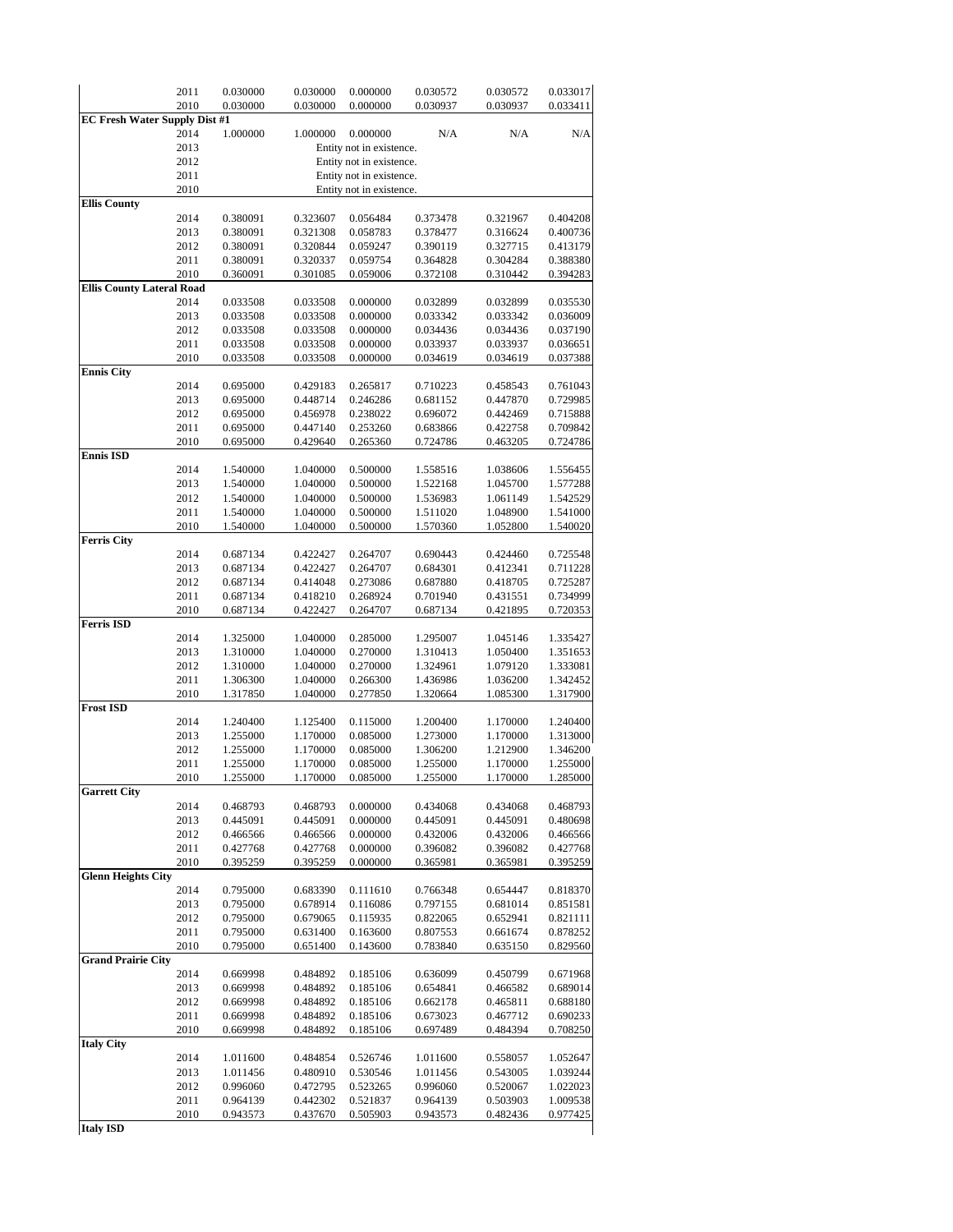|                                      | 2011         | 0.030000             | 0.030000             | 0.000000                 | 0.030572             | 0.030572             | 0.033017             |
|--------------------------------------|--------------|----------------------|----------------------|--------------------------|----------------------|----------------------|----------------------|
|                                      | 2010         | 0.030000             | 0.030000             | 0.000000                 | 0.030937             | 0.030937             | 0.033411             |
| <b>EC Fresh Water Supply Dist #1</b> |              |                      |                      |                          |                      |                      |                      |
|                                      | 2014         | 1.000000             | 1.000000             | 0.000000                 | N/A                  | N/A                  | N/A                  |
|                                      | 2013         |                      |                      | Entity not in existence. |                      |                      |                      |
|                                      | 2012         |                      |                      | Entity not in existence. |                      |                      |                      |
|                                      | 2011         |                      |                      | Entity not in existence. |                      |                      |                      |
| <b>Ellis County</b>                  | 2010         |                      |                      | Entity not in existence. |                      |                      |                      |
|                                      | 2014         | 0.380091             | 0.323607             | 0.056484                 | 0.373478             | 0.321967             | 0.404208             |
|                                      | 2013         | 0.380091             | 0.321308             | 0.058783                 | 0.378477             | 0.316624             | 0.400736             |
|                                      | 2012         | 0.380091             | 0.320844             | 0.059247                 | 0.390119             | 0.327715             | 0.413179             |
|                                      | 2011         | 0.380091             | 0.320337             | 0.059754                 | 0.364828             | 0.304284             | 0.388380             |
|                                      | 2010         | 0.360091             | 0.301085             | 0.059006                 | 0.372108             | 0.310442             | 0.394283             |
| <b>Ellis County Lateral Road</b>     |              |                      |                      |                          |                      |                      |                      |
|                                      | 2014         | 0.033508             | 0.033508             | 0.000000                 | 0.032899             | 0.032899             | 0.035530             |
|                                      | 2013         | 0.033508             | 0.033508             | 0.000000                 | 0.033342             | 0.033342             | 0.036009             |
|                                      | 2012         | 0.033508             | 0.033508             | 0.000000                 | 0.034436             | 0.034436             | 0.037190             |
|                                      | 2011         | 0.033508             | 0.033508             | 0.000000                 | 0.033937             | 0.033937             | 0.036651             |
|                                      | 2010         | 0.033508             | 0.033508             | 0.000000                 | 0.034619             | 0.034619             | 0.037388             |
| <b>Ennis City</b>                    |              |                      |                      |                          |                      |                      |                      |
|                                      | 2014<br>2013 | 0.695000<br>0.695000 | 0.429183<br>0.448714 | 0.265817<br>0.246286     | 0.710223<br>0.681152 | 0.458543<br>0.447870 | 0.761043<br>0.729985 |
|                                      | 2012         | 0.695000             | 0.456978             | 0.238022                 | 0.696072             | 0.442469             | 0.715888             |
|                                      | 2011         | 0.695000             | 0.447140             | 0.253260                 | 0.683866             | 0.422758             | 0.709842             |
|                                      | 2010         | 0.695000             | 0.429640             | 0.265360                 | 0.724786             | 0.463205             | 0.724786             |
| <b>Ennis ISD</b>                     |              |                      |                      |                          |                      |                      |                      |
|                                      | 2014         | 1.540000             | 1.040000             | 0.500000                 | 1.558516             | 1.038606             | 1.556455             |
|                                      | 2013         | 1.540000             | 1.040000             | 0.500000                 | 1.522168             | 1.045700             | 1.577288             |
|                                      | 2012         | 1.540000             | 1.040000             | 0.500000                 | 1.536983             | 1.061149             | 1.542529             |
|                                      | 2011         | 1.540000             | 1.040000             | 0.500000                 | 1.511020             | 1.048900             | 1.541000             |
|                                      | 2010         | 1.540000             | 1.040000             | 0.500000                 | 1.570360             | 1.052800             | 1.540020             |
| <b>Ferris City</b>                   |              |                      |                      |                          |                      |                      |                      |
|                                      | 2014         | 0.687134             | 0.422427             | 0.264707                 | 0.690443             | 0.424460             | 0.725548             |
|                                      | 2013         | 0.687134             | 0.422427             | 0.264707                 | 0.684301             | 0.412341             | 0.711228             |
|                                      | 2012<br>2011 | 0.687134<br>0.687134 | 0.414048<br>0.418210 | 0.273086<br>0.268924     | 0.687880<br>0.701940 | 0.418705<br>0.431551 | 0.725287<br>0.734999 |
|                                      | 2010         | 0.687134             | 0.422427             | 0.264707                 | 0.687134             | 0.421895             | 0.720353             |
| <b>Ferris ISD</b>                    |              |                      |                      |                          |                      |                      |                      |
|                                      | 2014         | 1.325000             | 1.040000             | 0.285000                 | 1.295007             | 1.045146             | 1.335427             |
|                                      | 2013         | 1.310000             | 1.040000             | 0.270000                 | 1.310413             | 1.050400             | 1.351653             |
|                                      | 2012         | 1.310000             | 1.040000             | 0.270000                 | 1.324961             | 1.079120             | 1.333081             |
|                                      | 2011         | 1.306300             | 1.040000             | 0.266300                 | 1.436986             | 1.036200             | 1.342452             |
|                                      | 2010         | 1.317850             | 1.040000             | 0.277850                 | 1.320664             | 1.085300             | 1.317900             |
| <b>Frost ISD</b>                     |              |                      |                      |                          |                      |                      |                      |
|                                      | 2014         | 1.240400             | 1.125400             | 0.115000                 | 1.200400             | 1.170000             | 1.240400             |
|                                      | 2013         | 1.255000             | 1.170000<br>1.170000 | 0.085000                 | 1.273000             | 1.170000             | 1.313000<br>1.346200 |
|                                      | 2012<br>2011 | 1.255000<br>1.255000 | 1.170000             | 0.085000<br>0.085000     | 1.306200<br>1.255000 | 1.212900<br>1.170000 | 1.255000             |
|                                      | 2010         | 1.255000             | 1.170000             | 0.085000                 | 1.255000             | 1.170000             | 1.285000             |
| <b>Garrett City</b>                  |              |                      |                      |                          |                      |                      |                      |
|                                      | 2014         | 0.468793             | 0.468793             | 0.000000                 | 0.434068             | 0.434068             | 0.468793             |
|                                      | 2013         | 0.445091             | 0.445091             | 0.000000                 | 0.445091             | 0.445091             | 0.480698             |
|                                      | 2012         | 0.466566             | 0.466566             | 0.000000                 | 0.432006             | 0.432006             | 0.466566             |
|                                      | 2011         | 0.427768             | 0.427768             | 0.000000                 | 0.396082             | 0.396082             | 0.427768             |
|                                      | 2010         | 0.395259             | 0.395259             | 0.000000                 | 0.365981             | 0.365981             | 0.395259             |
| <b>Glenn Heights City</b>            |              |                      |                      |                          |                      |                      |                      |
|                                      | 2014         | 0.795000             | 0.683390             | 0.111610                 | 0.766348             | 0.654447             | 0.818370             |
|                                      | 2013         | 0.795000             | 0.678914             | 0.116086                 | 0.797155             | 0.681014             | 0.851581             |
|                                      | 2012<br>2011 | 0.795000             | 0.679065             | 0.115935                 | 0.822065             | 0.652941             | 0.821111             |
|                                      | 2010         | 0.795000<br>0.795000 | 0.631400<br>0.651400 | 0.163600<br>0.143600     | 0.807553<br>0.783840 | 0.661674<br>0.635150 | 0.878252<br>0.829560 |
| <b>Grand Prairie City</b>            |              |                      |                      |                          |                      |                      |                      |
|                                      | 2014         | 0.669998             | 0.484892             | 0.185106                 | 0.636099             | 0.450799             | 0.671968             |
|                                      | 2013         | 0.669998             | 0.484892             | 0.185106                 | 0.654841             | 0.466582             | 0.689014             |
|                                      | 2012         | 0.669998             | 0.484892             | 0.185106                 | 0.662178             | 0.465811             | 0.688180             |
|                                      | 2011         | 0.669998             | 0.484892             | 0.185106                 | 0.673023             | 0.467712             | 0.690233             |
|                                      | 2010         | 0.669998             | 0.484892             | 0.185106                 | 0.697489             | 0.484394             | 0.708250             |
| <b>Italy City</b>                    |              |                      |                      |                          |                      |                      |                      |
|                                      | 2014         | 1.011600             | 0.484854             | 0.526746                 | 1.011600             | 0.558057             | 1.052647             |
|                                      | 2013         | 1.011456             | 0.480910             | 0.530546                 | 1.011456             | 0.543005             | 1.039244             |
|                                      | 2012         | 0.996060             | 0.472795             | 0.523265                 | 0.996060             | 0.520067             | 1.022023             |
|                                      | 2011         | 0.964139             | 0.442302             | 0.521837                 | 0.964139             | 0.503903             | 1.009538             |
| <b>Italy ICD</b>                     | 2010         | 0.943573             | 0.437670             | 0.505903                 | 0.943573             | 0.482436             | 0.977425             |

**Italy ISD**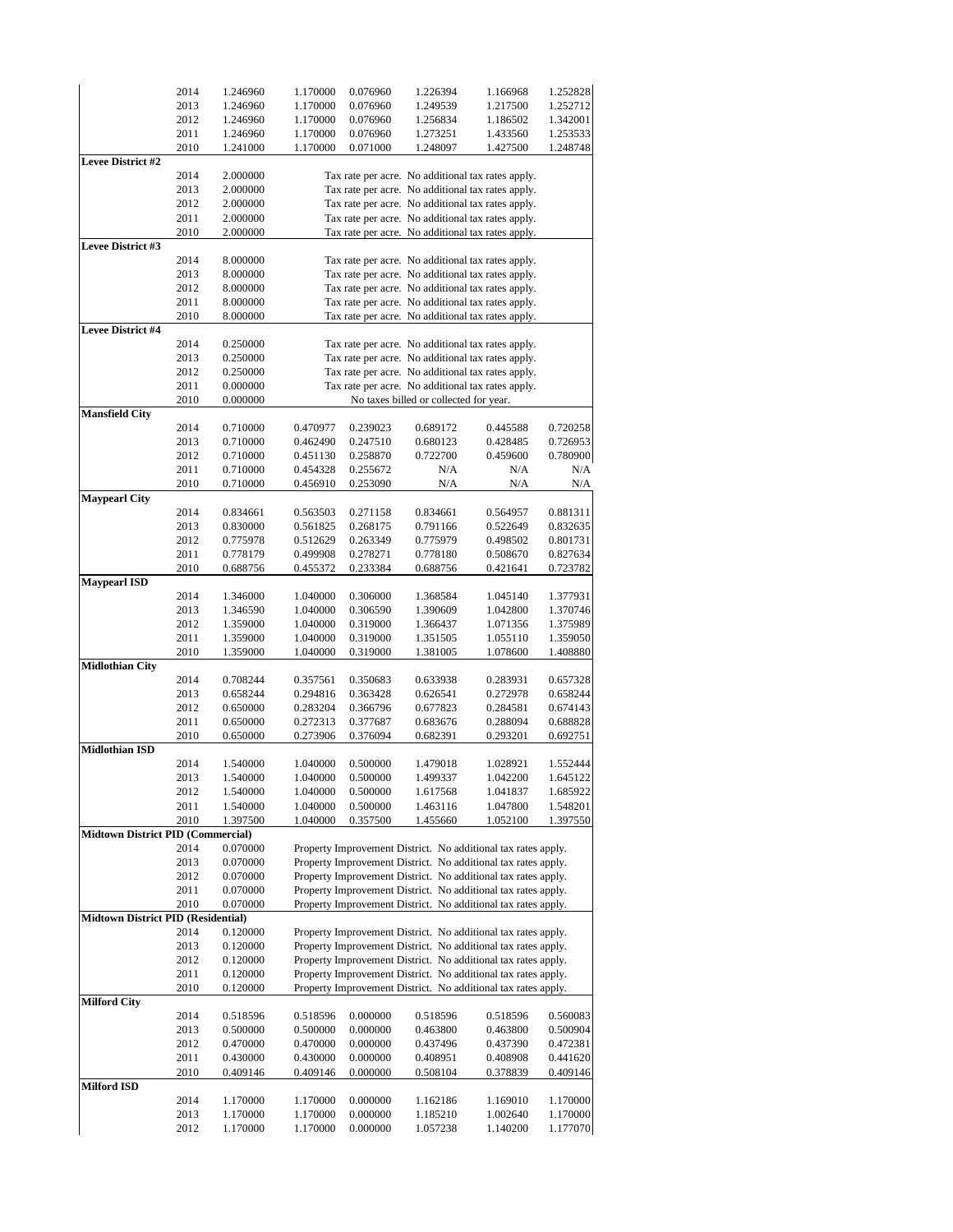|                                           | 2014 | 1.246960 | 1.170000 | 0.076960 | 1.226394                                                      | 1.166968 | 1.252828 |
|-------------------------------------------|------|----------|----------|----------|---------------------------------------------------------------|----------|----------|
|                                           |      |          |          |          |                                                               |          |          |
|                                           | 2013 | 1.246960 | 1.170000 | 0.076960 | 1.249539                                                      | 1.217500 | 1.252712 |
|                                           | 2012 | 1.246960 | 1.170000 | 0.076960 | 1.256834                                                      | 1.186502 | 1.342001 |
|                                           | 2011 | 1.246960 | 1.170000 | 0.076960 | 1.273251                                                      | 1.433560 | 1.253533 |
|                                           | 2010 | 1.241000 | 1.170000 | 0.071000 | 1.248097                                                      | 1.427500 | 1.248748 |
| <b>Levee District #2</b>                  |      |          |          |          |                                                               |          |          |
|                                           | 2014 | 2.000000 |          |          | Tax rate per acre. No additional tax rates apply.             |          |          |
|                                           | 2013 | 2.000000 |          |          | Tax rate per acre. No additional tax rates apply.             |          |          |
|                                           | 2012 | 2.000000 |          |          | Tax rate per acre. No additional tax rates apply.             |          |          |
|                                           | 2011 |          |          |          |                                                               |          |          |
|                                           |      | 2.000000 |          |          | Tax rate per acre. No additional tax rates apply.             |          |          |
|                                           | 2010 | 2.000000 |          |          | Tax rate per acre. No additional tax rates apply.             |          |          |
| Levee District #3                         |      |          |          |          |                                                               |          |          |
|                                           | 2014 | 8.000000 |          |          | Tax rate per acre. No additional tax rates apply.             |          |          |
|                                           | 2013 | 8.000000 |          |          | Tax rate per acre. No additional tax rates apply.             |          |          |
|                                           | 2012 | 8.000000 |          |          | Tax rate per acre. No additional tax rates apply.             |          |          |
|                                           | 2011 | 8.000000 |          |          | Tax rate per acre. No additional tax rates apply.             |          |          |
|                                           | 2010 | 8.000000 |          |          | Tax rate per acre. No additional tax rates apply.             |          |          |
| Levee District #4                         |      |          |          |          |                                                               |          |          |
|                                           |      |          |          |          |                                                               |          |          |
|                                           | 2014 | 0.250000 |          |          | Tax rate per acre. No additional tax rates apply.             |          |          |
|                                           | 2013 | 0.250000 |          |          | Tax rate per acre. No additional tax rates apply.             |          |          |
|                                           | 2012 | 0.250000 |          |          | Tax rate per acre. No additional tax rates apply.             |          |          |
|                                           | 2011 | 0.000000 |          |          | Tax rate per acre. No additional tax rates apply.             |          |          |
|                                           | 2010 | 0.000000 |          |          | No taxes billed or collected for year.                        |          |          |
| <b>Mansfield City</b>                     |      |          |          |          |                                                               |          |          |
|                                           | 2014 | 0.710000 | 0.470977 | 0.239023 | 0.689172                                                      | 0.445588 | 0.720258 |
|                                           |      |          |          |          |                                                               |          |          |
|                                           | 2013 | 0.710000 | 0.462490 | 0.247510 | 0.680123                                                      | 0.428485 | 0.726953 |
|                                           | 2012 | 0.710000 | 0.451130 | 0.258870 | 0.722700                                                      | 0.459600 | 0.780900 |
|                                           | 2011 | 0.710000 | 0.454328 | 0.255672 | N/A                                                           | N/A      | N/A      |
|                                           | 2010 | 0.710000 | 0.456910 | 0.253090 | N/A                                                           | N/A      | N/A      |
| <b>Maypearl City</b>                      |      |          |          |          |                                                               |          |          |
|                                           | 2014 | 0.834661 | 0.563503 | 0.271158 | 0.834661                                                      | 0.564957 | 0.881311 |
|                                           | 2013 | 0.830000 | 0.561825 | 0.268175 | 0.791166                                                      | 0.522649 | 0.832635 |
|                                           | 2012 | 0.775978 | 0.512629 | 0.263349 | 0.775979                                                      | 0.498502 | 0.801731 |
|                                           |      |          |          |          |                                                               |          |          |
|                                           | 2011 | 0.778179 | 0.499908 | 0.278271 | 0.778180                                                      | 0.508670 | 0.827634 |
|                                           | 2010 | 0.688756 | 0.455372 | 0.233384 | 0.688756                                                      | 0.421641 | 0.723782 |
| <b>Maypearl ISD</b>                       |      |          |          |          |                                                               |          |          |
|                                           | 2014 | 1.346000 | 1.040000 | 0.306000 | 1.368584                                                      | 1.045140 | 1.377931 |
|                                           | 2013 | 1.346590 | 1.040000 | 0.306590 | 1.390609                                                      | 1.042800 | 1.370746 |
|                                           | 2012 | 1.359000 | 1.040000 | 0.319000 | 1.366437                                                      | 1.071356 | 1.375989 |
|                                           | 2011 | 1.359000 | 1.040000 | 0.319000 | 1.351505                                                      | 1.055110 | 1.359050 |
|                                           | 2010 | 1.359000 | 1.040000 | 0.319000 | 1.381005                                                      | 1.078600 | 1.408880 |
| <b>Midlothian City</b>                    |      |          |          |          |                                                               |          |          |
|                                           |      |          |          |          |                                                               |          |          |
|                                           | 2014 | 0.708244 | 0.357561 | 0.350683 | 0.633938                                                      | 0.283931 | 0.657328 |
|                                           | 2013 | 0.658244 | 0.294816 | 0.363428 | 0.626541                                                      | 0.272978 | 0.658244 |
|                                           | 2012 | 0.650000 | 0.283204 | 0.366796 | 0.677823                                                      | 0.284581 | 0.674143 |
|                                           | 2011 | 0.650000 | 0.272313 | 0.377687 | 0.683676                                                      | 0.288094 | 0.688828 |
|                                           | 2010 | 0.650000 | 0.273906 | 0.376094 | 0.682391                                                      | 0.293201 | 0.692751 |
| <b>Midlothian ISD</b>                     |      |          |          |          |                                                               |          |          |
|                                           | 2014 | 1.540000 | 1.040000 | 0.500000 | 1.479018                                                      | 1.028921 | 1.552444 |
|                                           | 2013 | 1.540000 | 1.040000 | 0.500000 | 1.499337                                                      | 1.042200 | 1.645122 |
|                                           |      |          |          |          |                                                               |          |          |
|                                           | 2012 | 1.540000 | 1.040000 | 0.500000 | 1.617568                                                      | 1.041837 | 1.685922 |
|                                           | 2011 | 1.540000 | 1.040000 | 0.500000 | 1.463116                                                      | 1.047800 | 1.548201 |
|                                           | 2010 | 1.397500 | 1.040000 | 0.357500 | 1.455660                                                      | 1.052100 | 1.397550 |
| <b>Midtown District PID (Commercial)</b>  |      |          |          |          |                                                               |          |          |
|                                           | 2014 | 0.070000 |          |          | Property Improvement District. No additional tax rates apply. |          |          |
|                                           | 2013 | 0.070000 |          |          | Property Improvement District. No additional tax rates apply. |          |          |
|                                           | 2012 | 0.070000 |          |          | Property Improvement District. No additional tax rates apply. |          |          |
|                                           | 2011 | 0.070000 |          |          | Property Improvement District. No additional tax rates apply. |          |          |
|                                           | 2010 | 0.070000 |          |          | Property Improvement District. No additional tax rates apply. |          |          |
| <b>Midtown District PID (Residential)</b> |      |          |          |          |                                                               |          |          |
|                                           |      |          |          |          |                                                               |          |          |
|                                           | 2014 | 0.120000 |          |          | Property Improvement District. No additional tax rates apply. |          |          |
|                                           | 2013 | 0.120000 |          |          | Property Improvement District. No additional tax rates apply. |          |          |
|                                           | 2012 | 0.120000 |          |          | Property Improvement District. No additional tax rates apply. |          |          |
|                                           | 2011 | 0.120000 |          |          | Property Improvement District. No additional tax rates apply. |          |          |
|                                           | 2010 | 0.120000 |          |          | Property Improvement District. No additional tax rates apply. |          |          |
| <b>Milford City</b>                       |      |          |          |          |                                                               |          |          |
|                                           | 2014 | 0.518596 | 0.518596 | 0.000000 | 0.518596                                                      | 0.518596 | 0.560083 |
|                                           |      |          |          |          |                                                               |          |          |
|                                           | 2013 | 0.500000 | 0.500000 | 0.000000 | 0.463800                                                      | 0.463800 | 0.500904 |
|                                           | 2012 | 0.470000 | 0.470000 | 0.000000 | 0.437496                                                      | 0.437390 | 0.472381 |
|                                           | 2011 | 0.430000 | 0.430000 | 0.000000 | 0.408951                                                      | 0.408908 | 0.441620 |
|                                           | 2010 | 0.409146 | 0.409146 | 0.000000 | 0.508104                                                      | 0.378839 | 0.409146 |
| Milford ISD                               |      |          |          |          |                                                               |          |          |
|                                           | 2014 | 1.170000 | 1.170000 | 0.000000 | 1.162186                                                      | 1.169010 | 1.170000 |
|                                           | 2013 | 1.170000 | 1.170000 | 0.000000 | 1.185210                                                      | 1.002640 | 1.170000 |
|                                           | 2012 | 1.170000 | 1.170000 | 0.000000 | 1.057238                                                      | 1.140200 | 1.177070 |
|                                           |      |          |          |          |                                                               |          |          |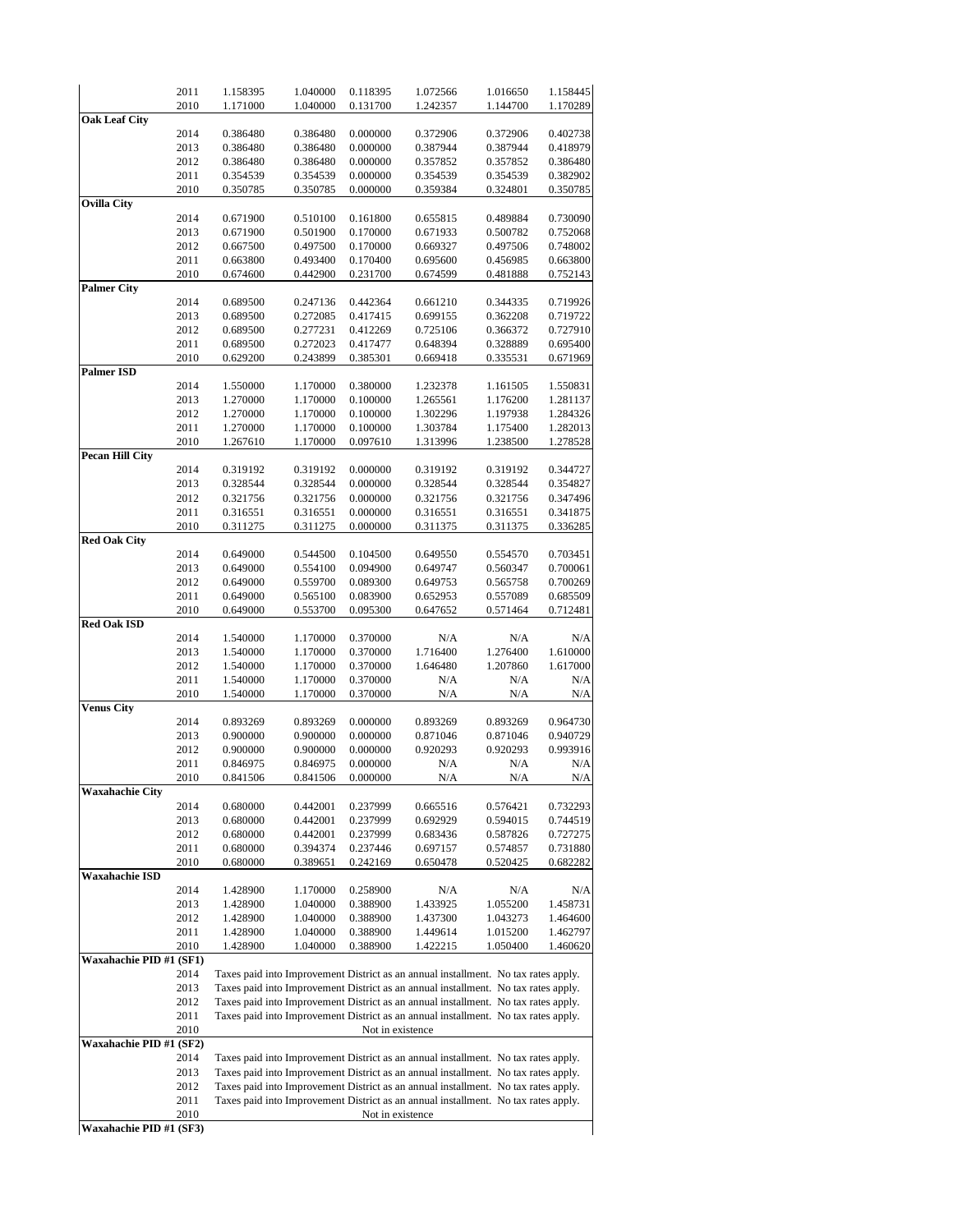|                         | 2011         | 1.158395 | 1.040000 | 0.118395 | 1.072566                                                                                               | 1.016650 | 1.158445 |
|-------------------------|--------------|----------|----------|----------|--------------------------------------------------------------------------------------------------------|----------|----------|
|                         | 2010         | 1.171000 | 1.040000 | 0.131700 | 1.242357                                                                                               | 1.144700 | 1.170289 |
| <b>Oak Leaf City</b>    |              |          |          |          |                                                                                                        |          |          |
|                         | 2014         | 0.386480 | 0.386480 | 0.000000 | 0.372906                                                                                               | 0.372906 | 0.402738 |
|                         | 2013         | 0.386480 | 0.386480 | 0.000000 | 0.387944                                                                                               | 0.387944 | 0.418979 |
|                         | 2012         | 0.386480 | 0.386480 | 0.000000 | 0.357852                                                                                               | 0.357852 | 0.386480 |
|                         | 2011         | 0.354539 | 0.354539 | 0.000000 | 0.354539                                                                                               | 0.354539 | 0.382902 |
|                         | 2010         | 0.350785 | 0.350785 | 0.000000 | 0.359384                                                                                               | 0.324801 | 0.350785 |
| <b>Ovilla City</b>      |              |          |          |          |                                                                                                        |          |          |
|                         | 2014         | 0.671900 | 0.510100 | 0.161800 | 0.655815                                                                                               | 0.489884 | 0.730090 |
|                         | 2013         | 0.671900 | 0.501900 | 0.170000 | 0.671933                                                                                               | 0.500782 | 0.752068 |
|                         | 2012         | 0.667500 | 0.497500 | 0.170000 | 0.669327                                                                                               | 0.497506 | 0.748002 |
|                         | 2011         | 0.663800 | 0.493400 | 0.170400 | 0.695600                                                                                               | 0.456985 | 0.663800 |
|                         | 2010         | 0.674600 | 0.442900 | 0.231700 | 0.674599                                                                                               | 0.481888 | 0.752143 |
| <b>Palmer City</b>      |              |          |          |          |                                                                                                        |          |          |
|                         | 2014         | 0.689500 | 0.247136 | 0.442364 | 0.661210                                                                                               | 0.344335 | 0.719926 |
|                         | 2013         | 0.689500 | 0.272085 | 0.417415 | 0.699155                                                                                               | 0.362208 | 0.719722 |
|                         | 2012         | 0.689500 | 0.277231 | 0.412269 | 0.725106                                                                                               | 0.366372 | 0.727910 |
|                         | 2011         | 0.689500 | 0.272023 | 0.417477 | 0.648394                                                                                               | 0.328889 | 0.695400 |
|                         | 2010         | 0.629200 | 0.243899 | 0.385301 | 0.669418                                                                                               | 0.335531 | 0.671969 |
| <b>Palmer ISD</b>       |              |          |          |          |                                                                                                        |          |          |
|                         | 2014         | 1.550000 | 1.170000 | 0.380000 | 1.232378                                                                                               | 1.161505 | 1.550831 |
|                         | 2013         | 1.270000 | 1.170000 | 0.100000 | 1.265561                                                                                               | 1.176200 | 1.281137 |
|                         | 2012         | 1.270000 | 1.170000 | 0.100000 | 1.302296                                                                                               | 1.197938 | 1.284326 |
|                         | 2011         | 1.270000 | 1.170000 | 0.100000 | 1.303784                                                                                               | 1.175400 | 1.282013 |
|                         | 2010         | 1.267610 | 1.170000 | 0.097610 | 1.313996                                                                                               | 1.238500 | 1.278528 |
| <b>Pecan Hill City</b>  |              |          |          |          |                                                                                                        |          |          |
|                         | 2014         | 0.319192 | 0.319192 | 0.000000 | 0.319192                                                                                               | 0.319192 | 0.344727 |
|                         | 2013         | 0.328544 | 0.328544 | 0.000000 | 0.328544                                                                                               | 0.328544 | 0.354827 |
|                         | 2012         | 0.321756 | 0.321756 | 0.000000 | 0.321756                                                                                               | 0.321756 | 0.347496 |
|                         | 2011         | 0.316551 | 0.316551 | 0.000000 | 0.316551                                                                                               | 0.316551 | 0.341875 |
|                         | 2010         | 0.311275 | 0.311275 | 0.000000 | 0.311375                                                                                               | 0.311375 | 0.336285 |
| <b>Red Oak City</b>     | 2014         | 0.649000 | 0.544500 | 0.104500 | 0.649550                                                                                               | 0.554570 | 0.703451 |
|                         | 2013         | 0.649000 | 0.554100 | 0.094900 | 0.649747                                                                                               | 0.560347 | 0.700061 |
|                         | 2012         | 0.649000 | 0.559700 | 0.089300 | 0.649753                                                                                               | 0.565758 | 0.700269 |
|                         | 2011         | 0.649000 | 0.565100 | 0.083900 | 0.652953                                                                                               | 0.557089 | 0.685509 |
|                         | 2010         | 0.649000 | 0.553700 | 0.095300 | 0.647652                                                                                               | 0.571464 | 0.712481 |
| <b>Red Oak ISD</b>      |              |          |          |          |                                                                                                        |          |          |
|                         | 2014         | 1.540000 | 1.170000 | 0.370000 | N/A                                                                                                    | N/A      | N/A      |
|                         | 2013         | 1.540000 | 1.170000 | 0.370000 | 1.716400                                                                                               | 1.276400 | 1.610000 |
|                         | 2012         | 1.540000 | 1.170000 | 0.370000 | 1.646480                                                                                               | 1.207860 | 1.617000 |
|                         | 2011         | 1.540000 | 1.170000 | 0.370000 |                                                                                                        | N/A      | N/A      |
|                         | 2010         |          |          | 0.370000 | N/A                                                                                                    |          |          |
| <b>Venus City</b>       |              | 1.540000 | 1.170000 |          | N/A                                                                                                    | N/A      | N/A      |
|                         | 2014         | 0.893269 | 0.893269 | 0.000000 | 0.893269                                                                                               | 0.893269 | 0.964730 |
|                         | 2013         | 0.900000 | 0.900000 | 0.000000 | 0.871046                                                                                               | 0.871046 | 0.940729 |
|                         | 2012         | 0.900000 | 0.900000 | 0.000000 | 0.920293                                                                                               | 0.920293 | 0.993916 |
|                         | 2011         | 0.846975 | 0.846975 | 0.000000 | N/A                                                                                                    | N/A      | N/A      |
|                         | 2010         |          |          |          |                                                                                                        | N/A      | N/A      |
| Waxahachie City         |              | 0.841506 | 0.841506 | 0.000000 | N/A                                                                                                    |          |          |
|                         | 2014         | 0.680000 | 0.442001 | 0.237999 | 0.665516                                                                                               | 0.576421 | 0.732293 |
|                         | 2013         | 0.680000 | 0.442001 | 0.237999 | 0.692929                                                                                               | 0.594015 | 0.744519 |
|                         | 2012         | 0.680000 | 0.442001 | 0.237999 | 0.683436                                                                                               | 0.587826 | 0.727275 |
|                         | 2011         | 0.680000 | 0.394374 | 0.237446 | 0.697157                                                                                               | 0.574857 | 0.731880 |
|                         | 2010         | 0.680000 | 0.389651 | 0.242169 | 0.650478                                                                                               | 0.520425 | 0.682282 |
| Waxahachie ISD          |              |          |          |          |                                                                                                        |          |          |
|                         | 2014         | 1.428900 | 1.170000 | 0.258900 | N/A                                                                                                    | N/A      | N/A      |
|                         | 2013         | 1.428900 | 1.040000 | 0.388900 | 1.433925                                                                                               | 1.055200 | 1.458731 |
|                         | 2012         | 1.428900 | 1.040000 | 0.388900 | 1.437300                                                                                               | 1.043273 | 1.464600 |
|                         | 2011         | 1.428900 | 1.040000 | 0.388900 | 1.449614                                                                                               | 1.015200 | 1.462797 |
|                         |              | 1.428900 | 1.040000 | 0.388900 | 1.422215                                                                                               | 1.050400 | 1.460620 |
|                         |              |          |          |          |                                                                                                        |          |          |
|                         | 2010         |          |          |          |                                                                                                        |          |          |
| Waxahachie PID #1 (SF1) |              |          |          |          |                                                                                                        |          |          |
|                         | 2014         |          |          |          | Taxes paid into Improvement District as an annual installment. No tax rates apply.                     |          |          |
|                         | 2013         |          |          |          | Taxes paid into Improvement District as an annual installment. No tax rates apply.                     |          |          |
|                         | 2012         |          |          |          | Taxes paid into Improvement District as an annual installment. No tax rates apply.                     |          |          |
|                         | 2011         |          |          |          | Taxes paid into Improvement District as an annual installment. No tax rates apply.                     |          |          |
|                         | 2010         |          |          |          | Not in existence                                                                                       |          |          |
| Waxahachie PID #1 (SF2) |              |          |          |          |                                                                                                        |          |          |
|                         | 2014         |          |          |          | Taxes paid into Improvement District as an annual installment. No tax rates apply.                     |          |          |
|                         | 2013         |          |          |          | Taxes paid into Improvement District as an annual installment. No tax rates apply.                     |          |          |
|                         | 2012         |          |          |          | Taxes paid into Improvement District as an annual installment. No tax rates apply.                     |          |          |
|                         | 2011<br>2010 |          |          |          | Taxes paid into Improvement District as an annual installment. No tax rates apply.<br>Not in existence |          |          |